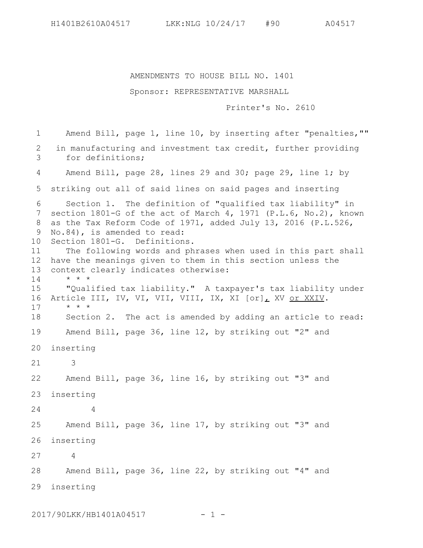AMENDMENTS TO HOUSE BILL NO. 1401

## Sponsor: REPRESENTATIVE MARSHALL

Printer's No. 2610

Amend Bill, page 1, line 10, by inserting after "penalties,"" in manufacturing and investment tax credit, further providing for definitions; Amend Bill, page 28, lines 29 and 30; page 29, line 1; by 5 striking out all of said lines on said pages and inserting Section 1. The definition of "qualified tax liability" in 7 section 1801-G of the act of March 4, 1971 (P.L.6, No.2), known as the Tax Reform Code of 1971, added July 13, 2016 (P.L.526, 9 No.84), is amended to read: Section 1801-G. Definitions. The following words and phrases when used in this part shall 12 have the meanings given to them in this section unless the context clearly indicates otherwise: \* \* \* "Qualified tax liability." A taxpayer's tax liability under 16 Article III, IV, VI, VII, VIII, IX, XI [or], XV or XXIV. \* \* \* Section 2. The act is amended by adding an article to read: Amend Bill, page 36, line 12, by striking out "2" and inserting 20 3 Amend Bill, page 36, line 16, by striking out "3" and inserting 23 4 Amend Bill, page 36, line 17, by striking out "3" and inserting 26 4 Amend Bill, page 36, line 22, by striking out "4" and inserting 291 2 3 4 6 8 10 11 13 14 15 17 18 19 21 22 24 25 27 28